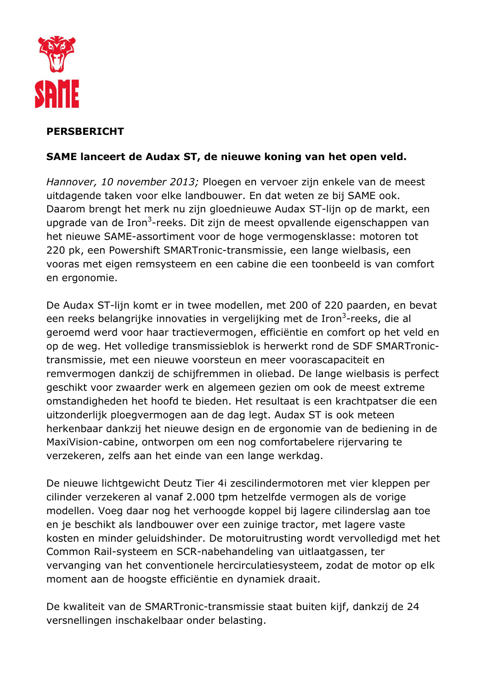

# **PERSBERICHT**

## SAME lanceert de Audax ST, de nieuwe koning van het open veld.

Hannover, 10 november 2013; Ploegen en vervoer zijn enkele van de meest uitdagende taken voor elke landbouwer. En dat weten ze bij SAME ook. Daarom brengt het merk nu zijn gloednieuwe Audax ST-lijn op de markt, een upgrade van de Iron<sup>3</sup>-reeks. Dit zijn de meest opvallende eigenschappen van het nieuwe SAME-assortiment voor de hoge vermogensklasse: motoren tot 220 pk, een Powershift SMARTronic-transmissie, een lange wielbasis, een vooras met eigen remsysteem en een cabine die een toonbeeld is van comfort en ergonomie.

De Audax ST-lijn komt er in twee modellen, met 200 of 220 paarden, en bevat een reeks belangrijke innovaties in vergelijking met de Iron<sup>3</sup>-reeks, die al geroemd werd voor haar tractievermogen, efficiëntie en comfort op het veld en op de weg. Het volledige transmissieblok is herwerkt rond de SDF SMARTronictransmissie, met een nieuwe voorsteun en meer voorascapaciteit en remvermogen dankzij de schijfremmen in oliebad. De lange wielbasis is perfect geschikt voor zwaarder werk en algemeen gezien om ook de meest extreme omstandigheden het hoofd te bieden. Het resultaat is een krachtpatser die een uitzonderlijk ploegvermogen aan de dag legt. Audax ST is ook meteen herkenbaar dankzij het nieuwe design en de ergonomie van de bediening in de MaxiVision-cabine, ontworpen om een nog comfortabelere rijervaring te verzekeren, zelfs aan het einde van een lange werkdag.

De nieuwe lichtgewicht Deutz Tier 4i zescilindermotoren met vier kleppen per cilinder verzekeren al vanaf 2.000 tpm hetzelfde vermogen als de vorige modellen. Voeg daar nog het verhoogde koppel bij lagere cilinderslag aan toe en je beschikt als landbouwer over een zuinige tractor, met lagere vaste kosten en minder geluidshinder. De motoruitrusting wordt vervolledigd met het Common Rail-systeem en SCR-nabehandeling van uitlaatgassen, ter vervanging van het conventionele hercirculatiesysteem, zodat de motor op elk moment aan de hoogste efficiëntie en dynamiek draait.

De kwaliteit van de SMARTronic-transmissie staat buiten kijf, dankzij de 24 versnellingen inschakelbaar onder belasting.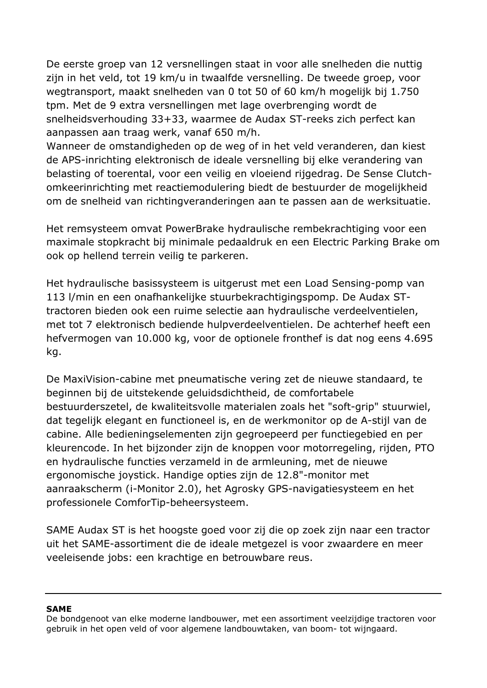De eerste groep van 12 versnellingen staat in voor alle snelheden die nuttig zijn in het veld, tot 19 km/u in twaalfde versnelling. De tweede groep, voor wegtransport, maakt snelheden van 0 tot 50 of 60 km/h mogelijk bij 1.750 tpm. Met de 9 extra versnellingen met lage overbrenging wordt de snelheidsverhouding 33+33, waarmee de Audax ST-reeks zich perfect kan aanpassen aan traag werk, vanaf 650 m/h.

Wanneer de omstandigheden op de weg of in het veld veranderen, dan kiest de APS-inrichting elektronisch de ideale versnelling bij elke verandering van belasting of toerental, voor een veilig en vloeiend rijgedrag. De Sense Clutchomkeerinrichting met reactiemodulering biedt de bestuurder de mogelijkheid om de snelheid van richtingveranderingen aan te passen aan de werksituatie.

Het remsysteem omvat PowerBrake hydraulische rembekrachtiging voor een maximale stopkracht bij minimale pedaaldruk en een Electric Parking Brake om ook op hellend terrein veilig te parkeren.

Het hydraulische basissysteem is uitgerust met een Load Sensing-pomp van 113 l/min en een onafhankelijke stuurbekrachtigingspomp. De Audax STtractoren bieden ook een ruime selectie aan hydraulische verdeelventielen, met tot 7 elektronisch bediende hulpverdeelventielen. De achterhef heeft een hefvermogen van 10.000 kg, voor de optionele fronthef is dat nog eens 4.695 kg.

De MaxiVision-cabine met pneumatische vering zet de nieuwe standaard, te beginnen bij de uitstekende geluidsdichtheid, de comfortabele bestuurderszetel, de kwaliteitsvolle materialen zoals het "soft-grip" stuurwiel, dat tegelijk elegant en functioneel is, en de werkmonitor op de A-stijl van de cabine. Alle bedieningselementen zijn gegroepeerd per functiegebied en per kleurencode. In het bijzonder zijn de knoppen voor motorregeling, rijden, PTO en hydraulische functies verzameld in de armleuning, met de nieuwe ergonomische joystick. Handige opties zijn de 12.8"-monitor met aanraakscherm (i-Monitor 2.0), het Agrosky GPS-navigatiesysteem en het professionele ComforTip-beheersysteem.

SAME Audax ST is het hoogste goed voor zij die op zoek zijn naar een tractor uit het SAME-assortiment die de ideale metgezel is voor zwaardere en meer veeleisende jobs: een krachtige en betrouwbare reus.

#### **SAME**

De bondgenoot van elke moderne landbouwer, met een assortiment veelzijdige tractoren voor gebruik in het open veld of voor algemene landbouwtaken, van boom- tot wijngaard.